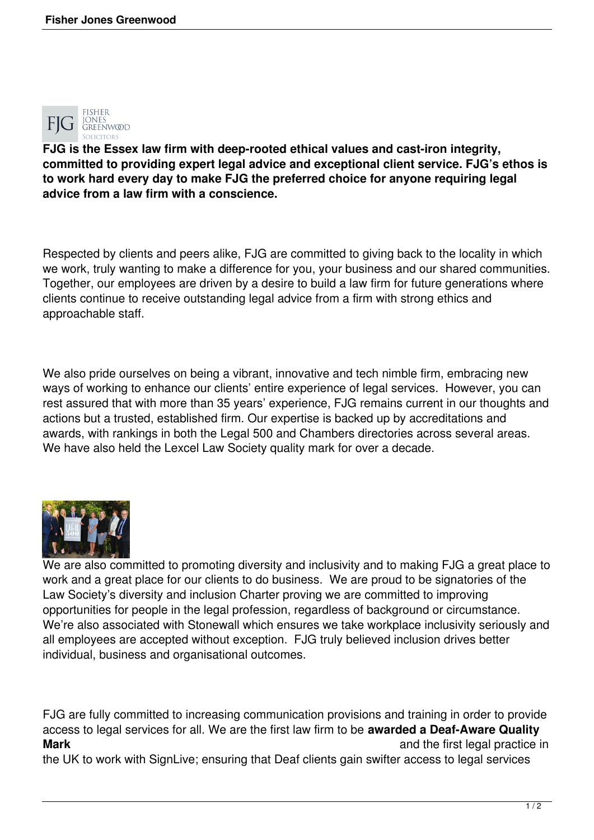

**FJG is the Essex law firm with deep-rooted ethical values and cast-iron integrity, committed to providing expert legal advice and exceptional client service. FJG's ethos is to work hard every day to make FJG the preferred choice for anyone requiring legal advice from a law firm with a conscience.**

Respected by clients and peers alike, FJG are committed to giving back to the locality in which we work, truly wanting to make a difference for you, your business and our shared communities. Together, our employees are driven by a desire to build a law firm for future generations where clients continue to receive outstanding legal advice from a firm with strong ethics and approachable staff.

We also pride ourselves on being a vibrant, innovative and tech nimble firm, embracing new ways of working to enhance our clients' entire experience of legal services. However, you can rest assured that with more than 35 years' experience, FJG remains current in our thoughts and actions but a trusted, established firm. Our expertise is backed up by accreditations and awards, with rankings in both the Legal 500 and Chambers directories across several areas. We have also held the Lexcel Law Society quality mark for over a decade.



We are also committed to promoting diversity and inclusivity and to making FJG a great place to work and a great place for our clients to do business. We are proud to be signatories of the Law Society's diversity and inclusion Charter proving we are committed to improving opportunities for people in the legal profession, regardless of background or circumstance. We're also associated with Stonewall which ensures we take workplace inclusivity seriously and all employees are accepted without exception. FJG truly believed inclusion drives better individual, business and organisational outcomes.

FJG are fully committed to increasing communication provisions and training in order to provide access to legal services for all. We are the first law firm to be **awarded a Deaf-Aware Quality Mark Mark and the first legal practice in and the first legal practice in** 

the UK to work with SignLive; ensuring that Deaf clients gain swifter access to legal services